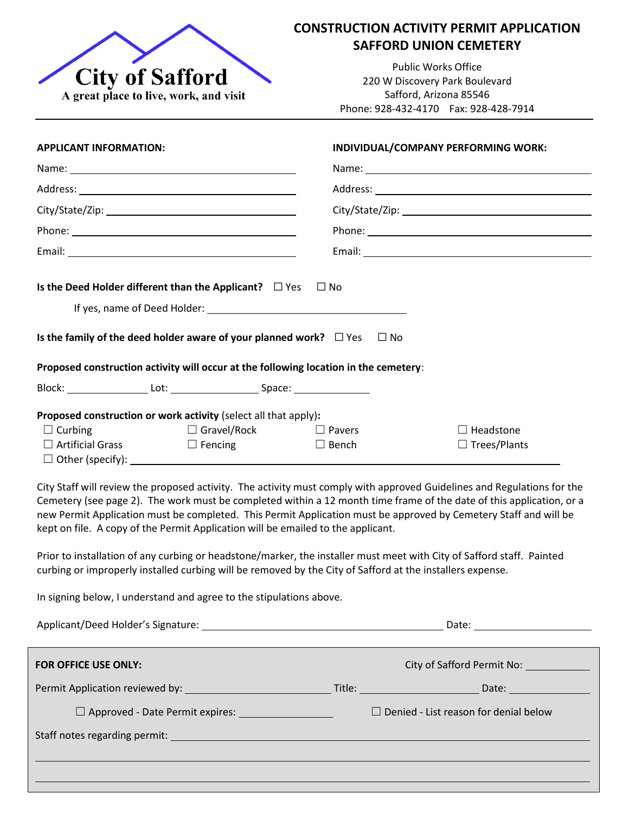

## **CONSTRUCTION ACTIVITY PERMIT APPLICATION SAFFORD UNION CEMETERY**

Public Works Office 220 W Discovery Park Boulevard Safford, Arizona 85546 Phone: 928-432-4170 Fax: 928-428-7914

| <b>APPLICANT INFORMATION:</b>                                                                                                                                                                 |                                      | INDIVIDUAL/COMPANY PERFORMING WORK: |                                                                                                                                                                                                                                                                                                                                                                                                                                                                                              |  |
|-----------------------------------------------------------------------------------------------------------------------------------------------------------------------------------------------|--------------------------------------|-------------------------------------|----------------------------------------------------------------------------------------------------------------------------------------------------------------------------------------------------------------------------------------------------------------------------------------------------------------------------------------------------------------------------------------------------------------------------------------------------------------------------------------------|--|
|                                                                                                                                                                                               |                                      | Name: Name:                         |                                                                                                                                                                                                                                                                                                                                                                                                                                                                                              |  |
|                                                                                                                                                                                               |                                      |                                     |                                                                                                                                                                                                                                                                                                                                                                                                                                                                                              |  |
|                                                                                                                                                                                               |                                      |                                     |                                                                                                                                                                                                                                                                                                                                                                                                                                                                                              |  |
|                                                                                                                                                                                               |                                      |                                     |                                                                                                                                                                                                                                                                                                                                                                                                                                                                                              |  |
|                                                                                                                                                                                               |                                      |                                     |                                                                                                                                                                                                                                                                                                                                                                                                                                                                                              |  |
| Is the Deed Holder different than the Applicant? $\Box$ Yes<br>Is the family of the deed holder aware of your planned work? $\Box$ Yes                                                        |                                      | $\Box$ No<br>$\Box$ No              |                                                                                                                                                                                                                                                                                                                                                                                                                                                                                              |  |
| Proposed construction activity will occur at the following location in the cemetery:                                                                                                          |                                      |                                     |                                                                                                                                                                                                                                                                                                                                                                                                                                                                                              |  |
| Proposed construction or work activity (select all that apply):                                                                                                                               |                                      |                                     |                                                                                                                                                                                                                                                                                                                                                                                                                                                                                              |  |
| $\Box$ Curbing<br>$\Box$ Artificial Grass                                                                                                                                                     | $\Box$ Gravel/Rock<br>$\Box$ Fencing | $\Box$ Pavers<br>$\Box$ Bench       | $\Box$ Headstone<br>$\Box$ Trees/Plants                                                                                                                                                                                                                                                                                                                                                                                                                                                      |  |
| kept on file. A copy of the Permit Application will be emailed to the applicant.<br>curbing or improperly installed curbing will be removed by the City of Safford at the installers expense. |                                      |                                     | City Staff will review the proposed activity. The activity must comply with approved Guidelines and Regulations for the<br>Cemetery (see page 2). The work must be completed within a 12 month time frame of the date of this application, or a<br>new Permit Application must be completed. This Permit Application must be approved by Cemetery Staff and will be<br>Prior to installation of any curbing or headstone/marker, the installer must meet with City of Safford staff. Painted |  |

In signing below, I understand and agree to the stipulations above.

|                                               | Date: ________________________ |                                              |  |
|-----------------------------------------------|--------------------------------|----------------------------------------------|--|
| <b>FOR OFFICE USE ONLY:</b>                   |                                | City of Safford Permit No:                   |  |
|                                               |                                |                                              |  |
| $\Box$ Approved - Date Permit expires: $\Box$ |                                | $\Box$ Denied - List reason for denial below |  |
|                                               |                                |                                              |  |
|                                               |                                |                                              |  |
|                                               |                                |                                              |  |